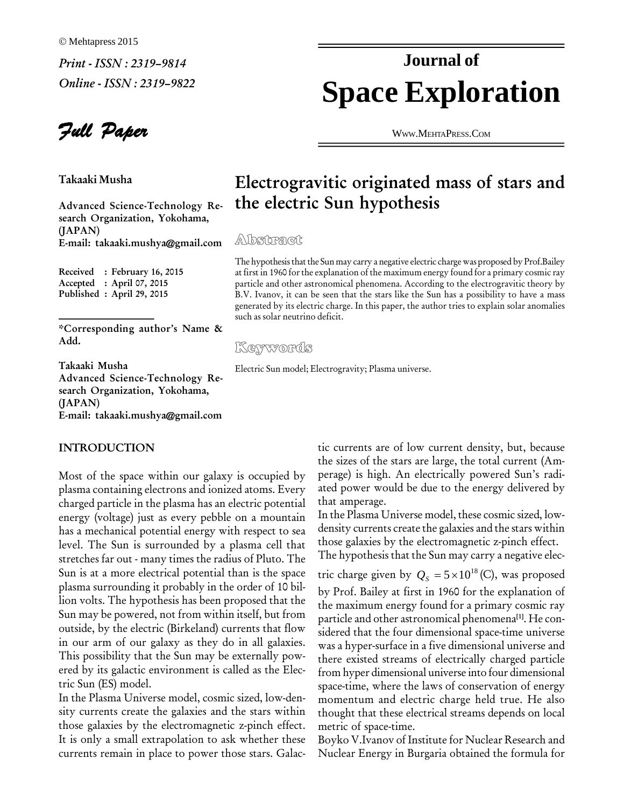Full Paper

**Takaaki Musha**

**Advanced Science-Technology Re search Organization, Yokohama, (JAPAN) E-mail: [takaaki.mushya@gmail.com](mailto:takaaki.mushya@gmail.com)**

**Received : February 16, 2015 Accepted : April 07, 2015 Published : April 29, 2015**

**\*Corresponding authorís Name & Add.**

**Takaaki Musha Advanced Science-Technology Re search Organization, Yokohama, (JAPAN) E-mail: [takaaki.mushya@gmail.com](mailto:takaaki.mushya@gmail.com)**

#### **INTRODUCTION**

Most of the space within our galaxy is occupied by plasma containing electrons and ionized atoms. Every charged particle in the plasma has an electric potential energy (voltage) just as every pebble on a mountain has a mechanical potential energy with respect to sea level. The Sun is surrounded by a plasma cell that stretches far out - many times the radius of Pluto. The Sun is at a more electrical potential than is the space plasma surrounding it probably in the order of <sup>10</sup> bil-lion volts. The hypothesis has been proposed that the Sun may be powered, not from within itself, but from outside, by the electric (Birkeland) currents that flow in our arm of our galaxy as they do in all galaxies. This possibility that the Sun may be externally pow ered by its galactic environment is called as the Elec tric Sun (ES) model.

In the Plasma Universe model, cosmic sized, low-den sity currents create the galaxies and the stars within those galaxies by the electromagnetic z-pinch effect. It is only a small extrapolation to ask whether these currents remain in place to power those stars. Galac-

# **Space Exploration Journal of**

WWW.M[EHTA](http://WWW.MEHTAPRESS.COM)PRESS.COM

### **Electrogravitic originated mass of stars and the electric Sun hypothesis**

The hypothesis that the Sun may carry a negative electric charge was proposed by Prof.Bailey at first in 1960 for the explanation of the maximum energy found for a primary cosmic ray particle and other astronomical phenomena. According to the electrogravitic theory by B.V. Ivanov, it can be seen that the stars like the Sun has a possibility to have a mass generated by its electric charge. In this paper, the author tries to explain solar anomalies such as solar neutrino deficit.

#### Keywords

Electric Sun model; Electrogravity; Plasma universe.

tic currents are of low current density, but, because the sizes of the stars are large, the total current (Am perage) is high. An electrically powered Sun's radiated power would be due to the energy delivered by that amperage.

In the Plasma Universe model, these cosmic sized, low density currents create the galaxies and the stars within those galaxies by the electromagnetic z-pinch effect. those galaxies by the electromagnetic z-pinch effect.<br>The hypothesis that the Sun may carry a negative electric charge given by  $Q_s = 5 \times 10^{18}$  (C), was proposed tromagnetic z-j<br>un may carry a<br>– 5 × 10<sup>18</sup> (C)

The hypothesis that the Sun may carry a negative elec-

by Prof. Bailey at first in 1960 for the explanation of the maximum energy found for a primary cosmic ray particle and other astronomical phenomena **[1]**. He con sidered that the four dimensional space-time universe was a hyper-surface in a five dimensional universe and there existed streams of electrically charged particle from hyper dimensional universe into four dimensional space-time, where the laws of conservation of energy momentum and electric charge held true. He also thought that these electrical streams depends on local metric of space-time.

Boyko V.Ivanov of Institute for Nuclear Research and Nuclear Energy in Burgaria obtained the formula for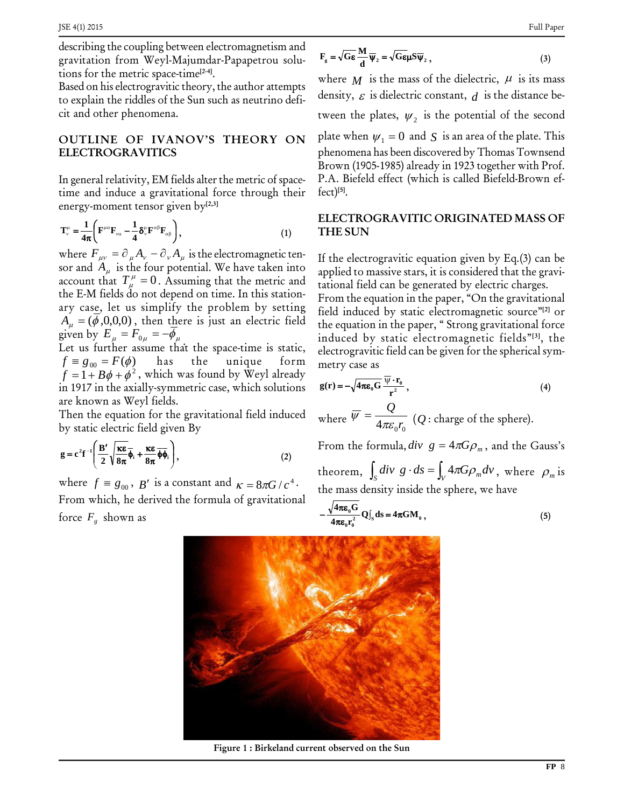describing the coupling between electromagnetism and gravitation from Weyl-Majumdar-Papapetrou solu tions for the metric space-time **[2-4]**.

Based on his electrogravitic theory, the author attempts to explain the riddles of the Sun such as neutrino defi-cit and other phenomena.

## **ELECTROGRAVITICS**

In general relativity, EM fields alter the metric of spacetime and induce a gravitational force through their

energy-moment tensor given by<sup>[2,3]</sup>  
\n
$$
T_v^{\mu} = \frac{1}{4\pi} \left( F^{\mu\alpha} F_{v\alpha} - \frac{1}{4} \delta_v^{\mu} F^{\alpha\beta} F_{\alpha\beta} \right),
$$
\n(1)

where  $F_{\mu\nu} = \partial_{\mu}A_{\nu} - \partial_{\nu}A_{\mu}$  is the electromagnetic tensor and  $A_\mu$  is the four potential. We have taken into applied where  $F_{\mu\nu} = \partial_{\mu} A_{\nu} - \partial_{\nu} A_{\mu}$  is the electromagnetic tensor and  $A_{\mu}$  is the four potential. We have taken into applied account that  $T_{\mu}^{\mu} = 0$ . Assuming that the metric and tational the E-M fields do not depend on time. In this station ary cas<u>e,</u> let us simplify the problem by setting field . tation:<br>the E-M fields do not depend on time. In this station-<br>rry case, let us simplify the problem by setting field in<br> $A_{\mu} = (\overline{\phi}, 0, 0, 0)$ , then t<u>h</u>ere is just an electric field the equ ary case, let us simplify the pro<br>  $A_{\mu} = (\bar{\phi}, 0, 0, 0)$ , then there is jus<br>
given by  $E_{\mu} = F_{0\mu} = -\bar{\phi}_{\mu}$ 

Even by  $\Sigma_{\mu}$   $\Gamma_{0\mu}$   $\gamma_{\mu}$   $\gamma_{\mu}$  that the space-time is static,  $\Gamma_{\text{el}}$ ( $\mu$  or  $E_{\mu} = F_{0\mu} = -\phi_{\mu}$  induced by<br>  $f \equiv g_{00} = F(\phi)$  has the unique form metry case and the unique form of the unique form of the unique form of the unique form of the unique form of the unique form of the unique f  $f = 1 + B\phi + \phi^2$ , which was found by Weyl already Let us further assume that the space-time is static,<br>  $f = g_{00} = F(\phi)$  has the unique form metry<br>  $f = 1 + B\phi + \phi^2$ , which was found by Weyl already in 1917 in the axially-symmetric case, which solutions are known as Weyl fields.

Then the equation for the gravitational field induced  $\overline{a}$  $\overline{\phantom{a}}$ 

by static electric field given By  
\n
$$
g = c^{2}f^{-1}\left(\frac{B'}{2}\sqrt{\frac{\kappa\epsilon}{8\pi}}\overline{\phi}_{i} + \frac{\kappa\epsilon}{8\pi}\overline{\phi}_{i}\right),
$$
\n
$$
g = c^{2}f^{-1}\left(\frac{B'}{2}\sqrt{\frac{\kappa\epsilon}{8\pi}}\overline{\phi}_{i} + \frac{\kappa\epsilon}{8\pi}\overline{\phi}_{i}\right),
$$
\nwhere  $f \equiv g_{00}$ ,  $B'$  is a constant and  $\kappa = 8\pi G/c^{4}$ .

From which, he derived the formula of gravitational force  $F_g$  shown as

$$
F_{g} = \sqrt{G\epsilon} \frac{M}{d} \overline{\Psi}_{2} = \sqrt{G\epsilon} \mu S \overline{\Psi}_{2}, \qquad (3)
$$

**OUTLINE** OF **IVANOV'S** THEORY ON plate when  $\psi_1 = 0$  and S is an area of the plate. This where  $M$  is the mass of the dielectric,  $\mu$  is its mass density,  $\varepsilon$  is dielectric constant,  $d$  is the distance between the plates,  $\psi_2$  is the potential of the second tween the plates,  $\psi_2$  is the potential of the second<br>plate when  $\psi_1 = 0$  and *S* is an area of the plate. This phenomena has been discovered by Thomas Townsend Brown (1905-1985) already in 1923 together with Prof. P.A. Biefeld effect (which is called Biefeld-Brown ef fect) **[5]**.

#### **ELECTROGRAVITIC ORIGINATED MASS OF THE SUN**

If the electrogravitic equation given by Eq.(3) can be applied to massive stars, it is considered that the gravi tational field can be generated by electric charges.

From the equation in the paper, "On the gravitational field induced by static electromagnetic source<sup>"[2]</sup> or the equation in the paper, "Strong gravitational force induced by static electromagnetic fields"<sup>[3]</sup>, the electrogravitic field can be given for the spherical symmetry case as<br> $\overline{\mathbb{Q} \cdot \mathbf{r}}$ metry case as

metry case as  
\n
$$
g(r) = -\sqrt{4\pi\varepsilon_0 G} \frac{\overline{\psi} \cdot r_0}{r^2},
$$
\nwhere  $\overline{\psi} = \frac{Q}{4\pi c r}$  (*Q*: charge of the sphere). (4)

where 
$$
\overline{\psi} = \frac{Q}{4\pi\varepsilon_0 r_0}
$$
 (*Q*: charge of the sphere).  
From the formula,  $div \ g = 4\pi G \rho_m$ , and the Gauss's  
theorem,  $\int_c div \ g \cdot ds = \int_v 4\pi G \rho_m dv$ , where  $\rho_m$  is

 $\int_{S} \text{div } g \cdot ds = \int_{V} 4\pi G \rho_{m} dv$ , where  $\rho_{m}$  is the mass density inside the sphere, we have<br> $-\frac{\sqrt{4\pi\varepsilon_0 G}}{O(d s = 4\pi G M)}$  (5)

$$
-\frac{\sqrt{4\pi\varepsilon_0 G}}{4\pi\varepsilon_0 r_0^2} Q\Big|_S ds = 4\pi GM_0 ,
$$
 (5)



**Figure 1 : Birkeland current observed on the Sun**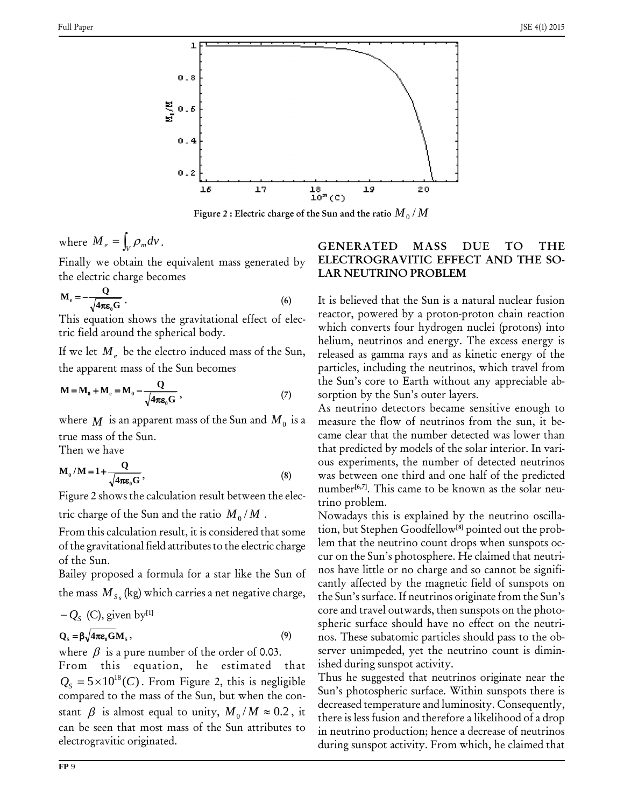

Figure 2  $:$  Electric charge of the Sun and the ratio  ${M}_{0}$  /  $M$ 

where  $M_e = \int_V \rho_m dv$ .

Finally we obtain the equivalent mass generated by electric channels

the electric charge becomes  
\n
$$
M_e = -\frac{Q}{\sqrt{4\pi\epsilon_0 G}}.
$$
\n(6)

This equation shows the gravitational effect of elec tric field around the spherical body.

If we let  $M_e$  be the electro induced mass of the Sun,

the apparent mass of the Sun becomes  
\n
$$
M = M_0 + M_e = M_0 - \frac{Q}{\sqrt{4\pi\varepsilon_0 G}},
$$
\n(7)

where  $M$  is an apparent mass of the Sun and  $M_0$  is a true mass of the Sun.

Then we have 

Then we have  
\n
$$
M_0 / M = 1 + \frac{Q}{\sqrt{4\pi \epsilon_0 G}},
$$
\n(8)

Figure 2 shows the calculation result between the elec-

tric charge of the Sun and the ratio  $M_0/M$  . No

From this calculation result, it is considered that some of the gravitational field attributesto the electric charge of the Sun.

Bailey proposed a formula for a star like the Sun of the mass  $M_{S_s}$  (kg) which carries a net negative charge,

$$
-Q_S
$$
 (C), given by<sup>[1]</sup>

#### $\mathbf{Q}_s = \beta \sqrt{4\pi \varepsilon_0 G} \mathbf{M}_s,$  (9)

where  $\beta$  is a pure number of the order of 0.03.

From this equation, he estimated that where  $\beta$  is a pure number of the order of 0.03. serve<br>From this equation, he estimated that ished<br> $Q_s = 5 \times 10^{18} (C)$ . From Figure 2, this is negligible Thus compared to the mass of the Sun, but when the con-  $Q_s = 5 \times 10^{18} (C)$ . From Figure 2, this is negligible<br>compared to the mass of the Sun, but when the constant  $\beta$  is almost equal to unity,  $M_0/M \approx 0.2$ , it the can be seen that most mass of the Sun attributes to electrogravitic originated.

#### **GENERATED MASS DUE TO THE ELECTROGRAVITIC EFFECT AND THE SO- LAR NEUTRINO PROBLEM**

It is believed that the Sun is a natural nuclear fusion reactor, powered by a proton-proton chain reaction which converts four hydrogen nuclei (protons) into helium, neutrinos and energy. The excess energy is released as gamma rays and as kinetic energy of the particles, including the neutrinos, which travel from the Sun's core to Earth without any appreciable absorption by the Sun's outer layers.

is a measure the flow of neutrinos from the sun, it be- As neutrino detectors became sensitive enough to came clear that the number detected was lower than that predicted by models of the solar interior. In vari ous experiments, the number of detected neutrinos was between one third and one half of the predicted number **[6,7]**. This came to be known as the solar neu trino problem.

Nowadays this is explained by the neutrino oscilla tion, but Stephen Goodfellow**[8]** pointed out the prob lem that the neutrino count drops when sunspots oc cur on the Sun's photosphere. He claimed that neutrinos have little or no charge and so cannot be signifi cantly affected by the magnetic field of sunspots on the Sun's surface. If neutrinos originate from the Sun's core and travel outwards, then sunspots on the photo spheric surface should have no effect on the neutri nos. These subatomic particles should pass to the ob server unimpeded, yet the neutrino count is dimin ished during sunspot activity.

Thus he suggested that neutrinos originate near the Sun's photospheric surface. Within sunspots there is decreased temperature and luminosity. Consequently, there is less fusion and therefore a likelihood of a drop in neutrino production; hence a decrease of neutrinos during sunspot activity. From which, he claimed that